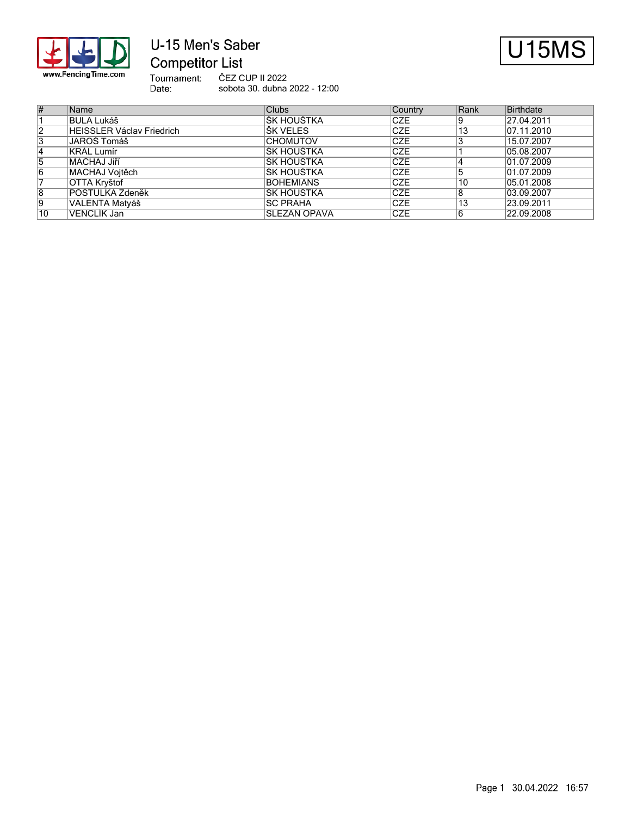

# U-15 Men's Saber **Competitor List**



Tournament:<br>Date: ČEZ CUP II 2022 sobota 30. dubna 2022 - 12:00

| #              | Name                             | <b>Clubs</b>         | Country     | Rank | Birthdate  |
|----------------|----------------------------------|----------------------|-------------|------|------------|
|                | BULA Lukáš                       | IŠK HOUŠTKA          | <b>CZE</b>  |      | 27.04.2011 |
| $\overline{2}$ | <b>HEISSLER Václav Friedrich</b> | IŠK VELES            | <b>CZE</b>  | 13   | 07.11.2010 |
| 3              | JAROŠ Tomáš                      | <b>CHOMUTOV</b>      | <b>CZE</b>  |      | 15.07.2007 |
| 14             | KRÁL Lumír                       | IŠK HOUŠTKA          | <b>CZE</b>  |      | 05.08.2007 |
| 15             | <b>MACHAJ Jiří</b>               | IŠK HOUŠTKA          | <b>ICZE</b> |      | 01.07.2009 |
| 16             | MACHAJ Vojtěch                   | IŠK HOUŠTKA          | <b>ICZE</b> |      | 01.07.2009 |
|                | OTTA Kryštof                     | <b>BOHEMIANS</b>     | <b>ICZE</b> | 10   | 05.01.2008 |
| 8              | <b>POSTULKA Zdeněk</b>           | ŠK HOUŠTKA           | <b>ICZE</b> |      | 03.09.2007 |
| 19             | VALENTA Matyáš                   | <b>SC PRAHA</b>      | <b>CZE</b>  | 13   | 23.09.2011 |
| 10             | VENCLIK Jan                      | <b>ISLEZAN OPAVA</b> | <b>ICZE</b> |      | 22.09.2008 |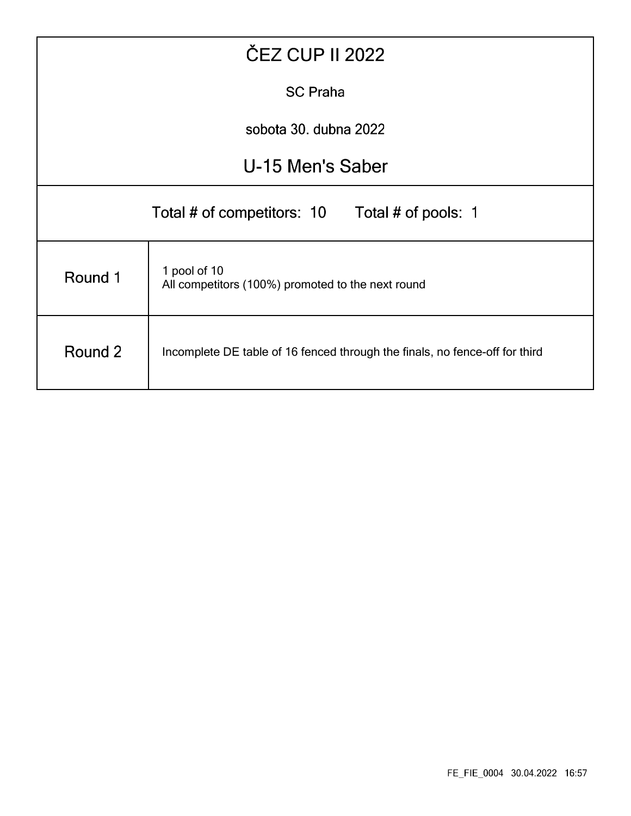| <b>ČEZ CUP II 2022</b>                         |                                                                             |  |  |  |  |  |  |  |  |
|------------------------------------------------|-----------------------------------------------------------------------------|--|--|--|--|--|--|--|--|
| <b>SC Praha</b>                                |                                                                             |  |  |  |  |  |  |  |  |
| sobota 30. dubna 2022                          |                                                                             |  |  |  |  |  |  |  |  |
|                                                | U-15 Men's Saber                                                            |  |  |  |  |  |  |  |  |
| Total # of competitors: 10 Total # of pools: 1 |                                                                             |  |  |  |  |  |  |  |  |
| Round 1                                        | 1 pool of 10<br>All competitors (100%) promoted to the next round           |  |  |  |  |  |  |  |  |
| Round 2                                        | Incomplete DE table of 16 fenced through the finals, no fence-off for third |  |  |  |  |  |  |  |  |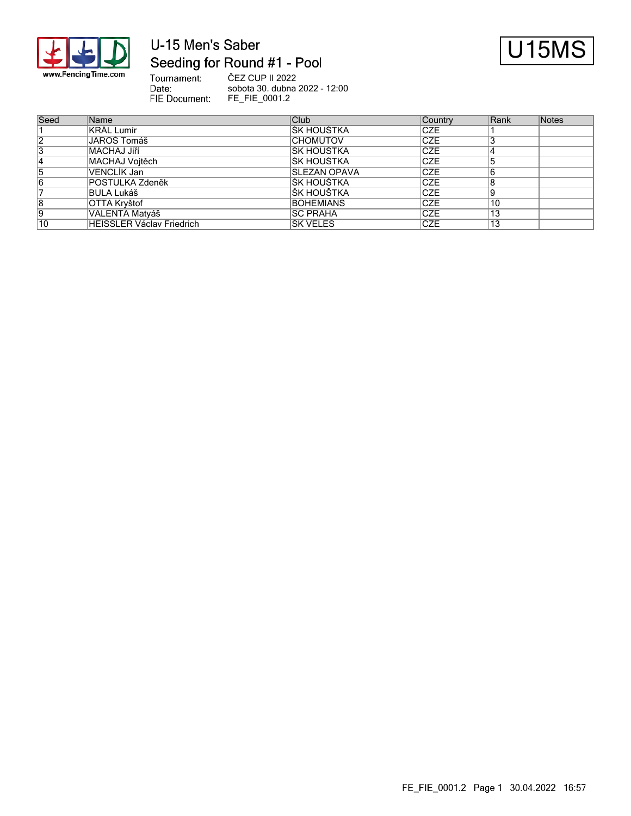

## U-15 Men's Saber Seeding for Round #1 - Pool

Date:



Tournament: ČEZ CUP II 2022 sobota 30. dubna 2022 - 12:00 FIE Document: FE\_FIE\_0001.2

| Seed           | Name                      | <b>Club</b>         | Country     | Rank | Notes |
|----------------|---------------------------|---------------------|-------------|------|-------|
|                | <b>KRÁL Lumír</b>         | IŠK HOUŠTKA         | <b>CZE</b>  |      |       |
| $\overline{2}$ | JAROŠ Tomáš               | <b>CHOMUTOV</b>     | <b>CZE</b>  |      |       |
| 3              | <b>MACHAJ Jiří</b>        | IŠK HOUŠTKA         | <b>CZE</b>  |      |       |
|                | MACHAJ Vojtěch            | ŠK HOUŠTKA          | <b>ICZE</b> |      |       |
| 5              | VENCLIK Jan               | <b>SLEZAN OPAVA</b> | <b>CZE</b>  |      |       |
| 6              | <b>POSTULKA Zdeněk</b>    | IŠK HOUŠTKA         | <b>CZE</b>  |      |       |
|                | BULA Lukáš                | IŠK HOUŠTKA         | <b>ICZE</b> |      |       |
| 8              | OTTA Kryštof              | <b>BOHEMIANS</b>    | <b>CZE</b>  | 10   |       |
| Ι9             | VALENTA Matyáš            | <b>ISC PRAHA</b>    | <b>CZE</b>  | 13   |       |
| 10             | HEISSLER Václav Friedrich | ŠK VELES            | ICZE        | 13   |       |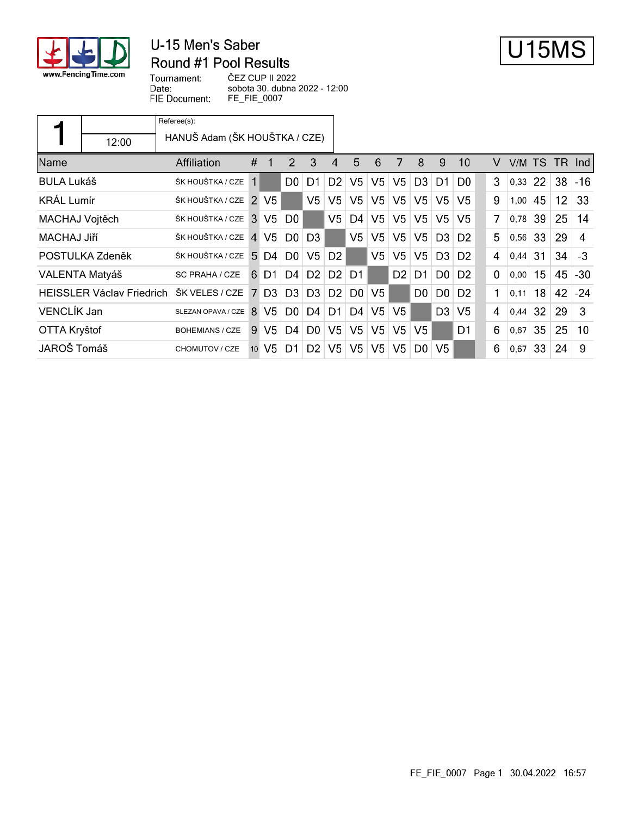

## U-15 Men's Saber Round #1 Pool Results



Tournament: Date: FIE Document: ČEZ CUP II 2022 sobota 30. dubna 2022 - 12:00 FE\_FIE\_0007

| 12:00                            | Referee(s):<br>HANUŠ Adam (ŠK HOUŠTKA / CZE) |                |                |                |                |                |                |                |                |                |                |                |          |      |                 |                 |                 |
|----------------------------------|----------------------------------------------|----------------|----------------|----------------|----------------|----------------|----------------|----------------|----------------|----------------|----------------|----------------|----------|------|-----------------|-----------------|-----------------|
| Name                             | Affiliation                                  | #              | 1              | 2              | 3              | 4              | 5              | 6              | 7              | 8              | 9              | 10             | V        |      | V/M TS          | TR.             | -Ind-I          |
| <b>BULA Lukáš</b>                | ŠK HOUŠTKA / CZE                             | 1              |                | D0.            | D1             | D <sub>2</sub> | V <sub>5</sub> | V <sub>5</sub> | V <sub>5</sub> | D <sub>3</sub> | D1.            | D <sub>0</sub> | 3        | 0,33 | <b>22</b>       | 38              | $-16$           |
| <b>KRÁL Lumír</b>                | ŠK HOUŠTKA / CZE                             | $\mathcal{P}$  | V5.            |                | V <sub>5</sub> | V <sub>5</sub> | V <sub>5</sub> | V <sub>5</sub> | V <sub>5</sub> | V <sub>5</sub> | V5             | V5             | 9        | 1,00 | 45              | 12 <sup>2</sup> | 33              |
| MACHAJ Vojtěch                   | ŠK HOUŠTKA / CZE                             | 3              | V <sub>5</sub> | D <sub>0</sub> |                | V <sub>5</sub> | D4             | V <sub>5</sub> | V <sub>5</sub> | V <sub>5</sub> | V <sub>5</sub> | V5             | 7        | 0,78 | 39              | 25              | 14              |
| MACHAJ Jiří                      | ŠK HOUŠTKA / CZE                             |                | $4 \text{ V}5$ | D0             | D <sub>3</sub> |                | V5             | V <sub>5</sub> | V <sub>5</sub> | V <sub>5</sub> | D3             | D <sub>2</sub> | 5.       | 0,56 | 33              | 29              | 4               |
| POSTULKA Zdeněk                  | ŠK HOUŠTKA / CZE                             | $5^{\circ}$    | D4             | D <sub>0</sub> | V <sub>5</sub> | D <sub>2</sub> |                | V <sub>5</sub> | V <sub>5</sub> | V <sub>5</sub> | D3.            | D <sub>2</sub> | 4        | 0.44 | 31              | 34              | $-3$            |
| VALENTA Matyáš                   | SC PRAHA / CZE                               | 6              | D1.            | D <sub>4</sub> | D <sub>2</sub> | D <sub>2</sub> | D <sub>1</sub> |                | D <sub>2</sub> | D1             | D0             | D <sub>2</sub> | $\Omega$ | 0,00 | 15 <sub>1</sub> | 45              | $-30$           |
| <b>HEISSLER Václav Friedrich</b> | ŠK VELES / CZE                               | $\overline{7}$ | D <sub>3</sub> | D3             | D <sub>3</sub> | D2             | D0             | V <sub>5</sub> |                | D <sub>0</sub> | D0             | D <sub>2</sub> | 1        | 0,11 | 18 <sup>1</sup> | 42              | $-24$           |
| VENCLÍK Jan                      | SLEZAN OPAVA / CZE                           | 8              | V5.            | D <sub>0</sub> | D4             | D1             | D4             | V <sub>5</sub> | V <sub>5</sub> |                | D <sub>3</sub> | V <sub>5</sub> | 4        | 0,44 | 32 <sup>2</sup> | 29              | 3               |
| OTTA Kryštof                     | <b>BOHEMIANS / CZE</b>                       | 9              | V <sub>5</sub> | D4             | D <sub>0</sub> | V <sub>5</sub> | V <sub>5</sub> | V <sub>5</sub> | V <sub>5</sub> | V <sub>5</sub> |                | D <sub>1</sub> | 6        | 0,67 | 35              | 25              | 10 <sup>1</sup> |
| JAROŠ Tomáš                      | CHOMUTOV / CZE                               | 10             | V5.            | D1             | D <sub>2</sub> | V <sub>5</sub> | V <sub>5</sub> | V <sub>5</sub> | V5             | D0.            | V5             |                | 6        | 0,67 | 33              | 24              | 9               |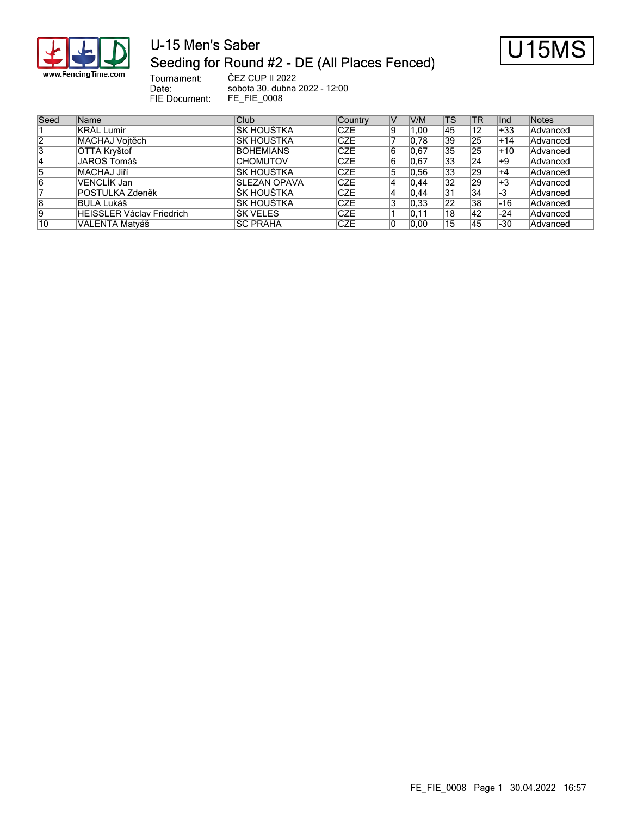

## U-15 Men's Saber Seeding for Round #2 - DE (All Places Fenced)



Tournament: ČEZ CUP II 2022 sobota 30. dubna 2022 - 12:00 FIE Document: FE\_FIE\_0008

Date:

| Seed | Name                             | Club                | Country    | V  | V/M   | <b>TS</b>       | TR  | Ind   | <b>Notes</b> |
|------|----------------------------------|---------------------|------------|----|-------|-----------------|-----|-------|--------------|
|      | KRÁL Lumír                       | ŠK HOUŠTKA          | <b>CZE</b> | 19 | . .00 | 45              | 12  | $+33$ | Advanced     |
| 12   | MACHAJ Vojtěch                   | ŠK HOUŠTKA          | <b>CZE</b> |    | 0.78  | 39              | 25  | $+14$ | Advanced     |
| 3    | OTTA Kryštof                     | <b>BOHEMIANS</b>    | <b>CZE</b> | 16 | 0.67  | 35              | 25  | +10   | Advanced     |
| 14   | JAROŠ Tomáš                      | <b>CHOMUTOV</b>     | <b>CZE</b> |    | 0,67  | 33              | 24  | ∣+9   | Advanced     |
| 15   | MACHAJ Jiří                      | <b>ŠK HOUŠTKA</b>   | <b>CZE</b> | ۱5 | 0.56  | 33              | 29  | $+4$  | Advanced     |
| 6    | VENCLÍK Jan                      | <b>SLEZAN OPAVA</b> | <b>CZE</b> |    | 0.44  | $\overline{32}$ | 29  | $+3$  | Advanced     |
|      | <b>POSTULKA Zdeněk</b>           | <b>ŠK HOUŠTKA</b>   | <b>CZE</b> |    | 0.44  | 31              | 34  | -3    | Advanced     |
| 8    | IBULA Lukáš                      | IŠK HOUŠTKA         | <b>CZE</b> |    | 0.33  | 22              | 38  | -16   | Advanced     |
| Ι9   | <b>HEISSLER Václav Friedrich</b> | ŠK VELES            | <b>CZE</b> |    | 0.11  | 18              | 42  | -24   | Advanced     |
| 10   | VALENTA Matyáš                   | <b>ISC PRAHA</b>    | <b>CZE</b> |    | 0.00  | 15              | 145 | -30   | Advanced     |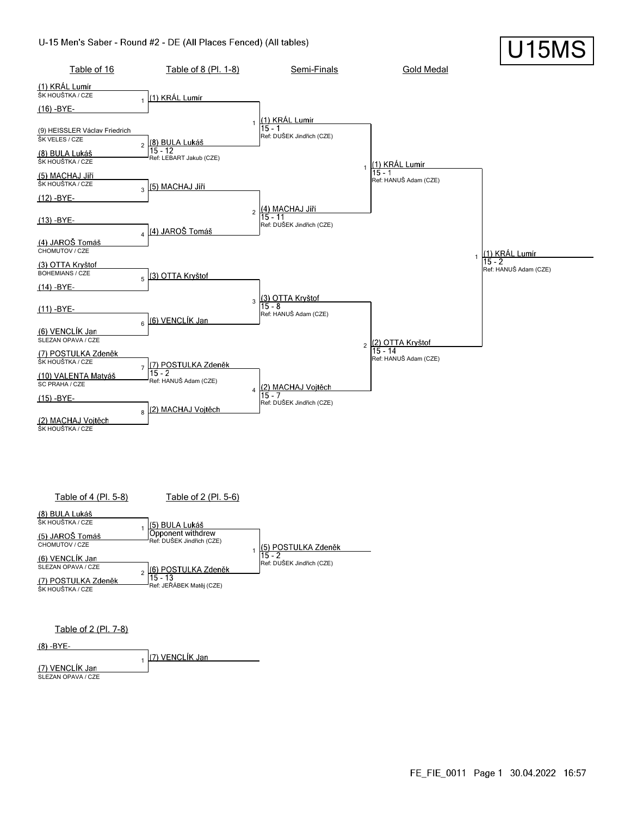#### U-15 Men's Saber - Round #2 - DE (All Places Fenced) (All tables)



Table of 2 (Pl. 7-8)

 $(8) - BYE -$ 

(7) VENCLÍK Jan 1

(7) VENCLÍK Jan SLEZAN OPAVA / CZE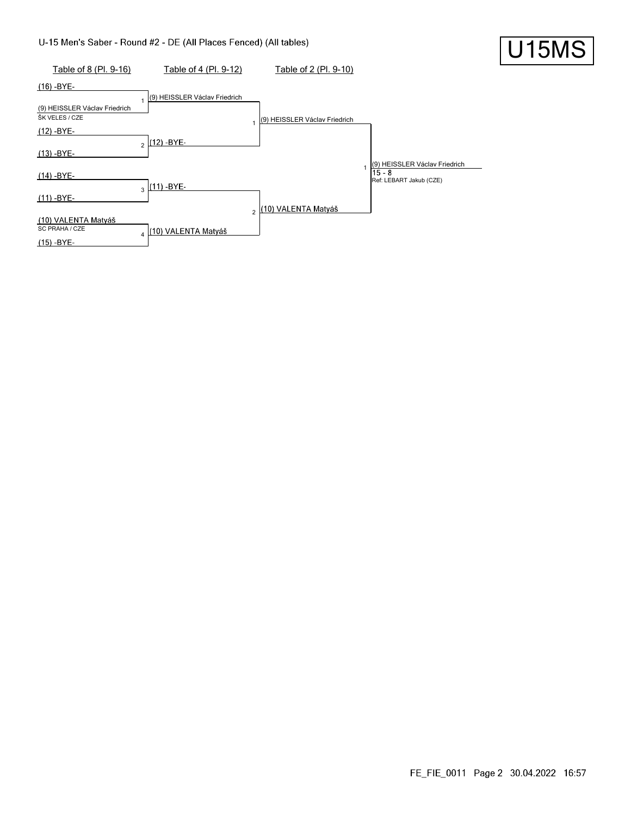#### U-15 Men's Saber - Round #2 - DE (All Places Fenced) (All tables)



U15MS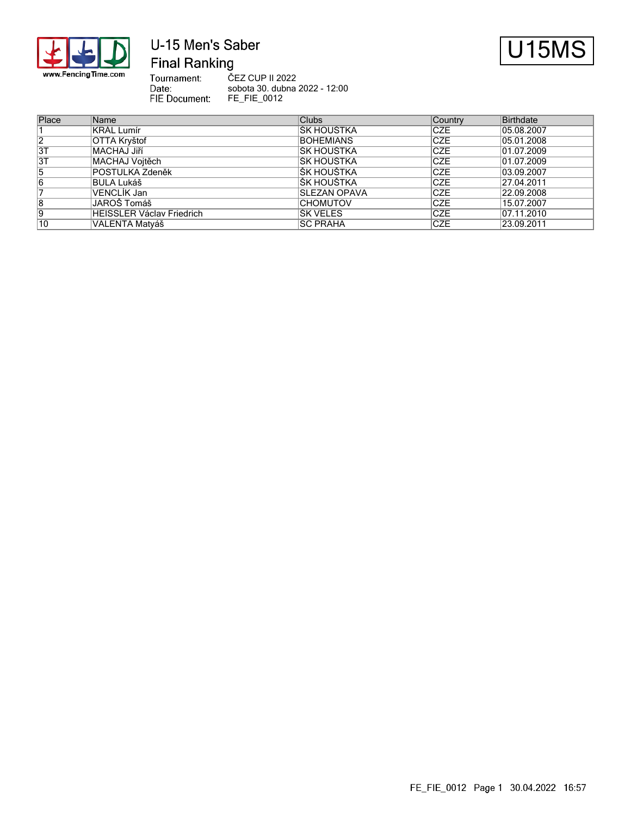

# U-15 Men's Saber



**Final Ranking** 

Tournament:<br>Date: ČEZ CUP II 2022 sobota 30. dubna 2022 - 12:00 FIE Document: FE\_FIE\_0012

| Place          | Name                             | <b>Clubs</b>     | Country     | <b>Birthdate</b> |
|----------------|----------------------------------|------------------|-------------|------------------|
|                | <b>KRÁL Lumír</b>                | IŠK HOUŠTKA      | ICZE        | 05.08.2007       |
| $\overline{2}$ | OTTA Kryštof                     | <b>BOHEMIANS</b> | <b>ICZE</b> | 05.01.2008       |
| 3T             | MACHAJ Jiří                      | IŠK HOUŠTKA      | <b>ICZE</b> | 01.07.2009       |
| 3T             | MACHAJ Vojtěch                   | ŠK HOUŠTKA       | <b>CZE</b>  | 01.07.2009       |
| 15             | POSTULKA Zdeněk                  | IŠK HOUŠTKA      | <b>ICZE</b> | 103.09.2007      |
| 16             | BULA Lukáš                       | IŠK HOUŠTKA      | <b>CZE</b>  | 27.04.2011       |
|                | VENCLIK Jan                      | SLEZAN OPAVA     | ICZE        | 22.09.2008       |
| 8              | JAROŠ Tomáš                      | <b>CHOMUTOV</b>  | ICZE        | 15.07.2007       |
| 19             | <b>HEISSLER Václav Friedrich</b> | <b>ŠK VELES</b>  | ICZE        | 07.11.2010       |
| 10             | VALENTA Matyáš                   | <b>SC PRAHA</b>  | <b>ICZE</b> | 123.09.2011      |